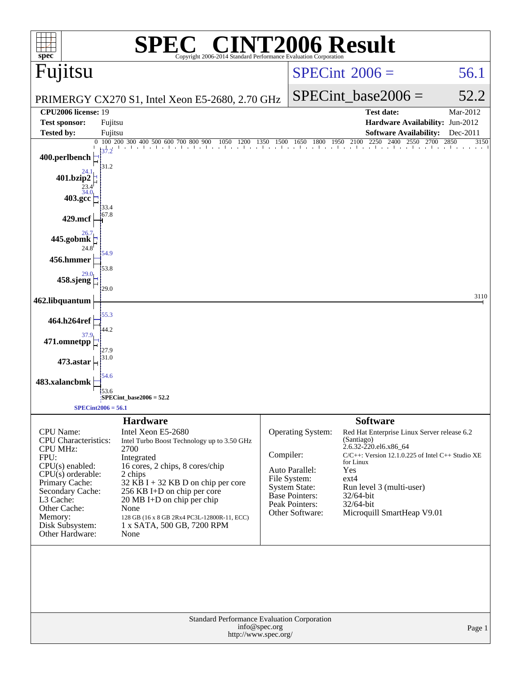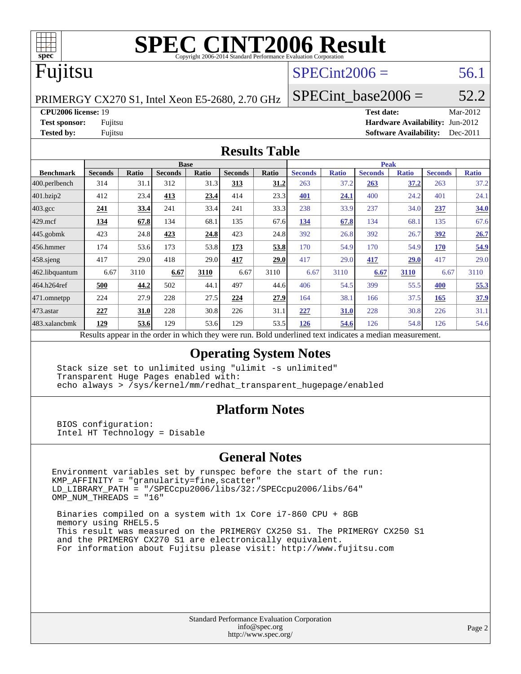

# **[SPEC CINT2006 Result](http://www.spec.org/auto/cpu2006/Docs/result-fields.html#SPECCINT2006Result)**

# Fujitsu

## $SPECint2006 = 56.1$  $SPECint2006 = 56.1$

PRIMERGY CX270 S1, Intel Xeon E5-2680, 2.70 GHz

SPECint base2006 =  $52.2$ 

**[CPU2006 license:](http://www.spec.org/auto/cpu2006/Docs/result-fields.html#CPU2006license)** 19 **[Test date:](http://www.spec.org/auto/cpu2006/Docs/result-fields.html#Testdate)** Mar-2012

**[Test sponsor:](http://www.spec.org/auto/cpu2006/Docs/result-fields.html#Testsponsor)** Fujitsu **[Hardware Availability:](http://www.spec.org/auto/cpu2006/Docs/result-fields.html#HardwareAvailability)** Jun-2012 **[Tested by:](http://www.spec.org/auto/cpu2006/Docs/result-fields.html#Testedby)** Fujitsu **[Software Availability:](http://www.spec.org/auto/cpu2006/Docs/result-fields.html#SoftwareAvailability)** Dec-2011

#### **[Results Table](http://www.spec.org/auto/cpu2006/Docs/result-fields.html#ResultsTable)**

|                         | <b>Base</b>                                                                                              |              |                |       |                |       | <b>Peak</b>    |              |                |              |                |              |  |
|-------------------------|----------------------------------------------------------------------------------------------------------|--------------|----------------|-------|----------------|-------|----------------|--------------|----------------|--------------|----------------|--------------|--|
| <b>Benchmark</b>        | <b>Seconds</b>                                                                                           | <b>Ratio</b> | <b>Seconds</b> | Ratio | <b>Seconds</b> | Ratio | <b>Seconds</b> | <b>Ratio</b> | <b>Seconds</b> | <b>Ratio</b> | <b>Seconds</b> | <b>Ratio</b> |  |
| $ 400.\text{perlbench}$ | 314                                                                                                      | 31.1         | 312            | 31.3  | 313            | 31.2  | 263            | 37.2         | 263            | <u>37.2</u>  | 263            | 37.2         |  |
| 401.bzip2               | 412                                                                                                      | 23.4         | 413            | 23.4  | 414            | 23.3  | 401            | 24.1         | 400            | 24.2         | 401            | 24.1         |  |
| $403.\mathrm{gcc}$      | <u>241</u>                                                                                               | 33.4         | 241            | 33.4  | 241            | 33.3  | 238            | 33.9         | 237            | 34.0         | 237            | 34.0         |  |
| $429$ mcf               | 134                                                                                                      | 67.8         | 134            | 68.1  | 135            | 67.6  | 134            | 67.8         | 134            | 68.1         | 135            | 67.6         |  |
| $445$ .gobmk            | 423                                                                                                      | 24.8         | 423            | 24.8  | 423            | 24.8  | 392            | 26.8         | 392            | 26.7         | 392            | 26.7         |  |
| 456.hmmer               | 174                                                                                                      | 53.6         | 173            | 53.8  | 173            | 53.8  | 170            | 54.9         | 170            | 54.9         | 170            | 54.9         |  |
| $458$ .sjeng            | 417                                                                                                      | 29.0         | 418            | 29.0  | 417            | 29.0  | 417            | 29.0         | 417            | <b>29.0</b>  | 417            | 29.0         |  |
| 462.libquantum          | 6.67                                                                                                     | 3110         | 6.67           | 3110  | 6.67           | 3110  | 6.67           | 3110         | 6.67           | 3110         | 6.67           | 3110         |  |
| 464.h264ref             | 500                                                                                                      | 44.2         | 502            | 44.1  | 497            | 44.6  | 406            | 54.5         | 399            | 55.5         | 400            | 55.3         |  |
| 471.omnetpp             | 224                                                                                                      | 27.9         | 228            | 27.5  | 224            | 27.9  | 164            | 38.1         | 166            | 37.5         | 165            | 37.9         |  |
| $473$ . astar           | 227                                                                                                      | 31.0         | 228            | 30.8  | 226            | 31.1  | 227            | <b>31.0</b>  | 228            | 30.8         | 226            | 31.1         |  |
| 483.xalancbmk           | 129                                                                                                      | 53.6         | 129            | 53.6  | 129            | 53.5  | 126            | 54.6         | 126            | 54.8         | 126            | 54.6         |  |
|                         | Results appear in the order in which they were run. Bold underlined text indicates a median measurement. |              |                |       |                |       |                |              |                |              |                |              |  |

#### **[Operating System Notes](http://www.spec.org/auto/cpu2006/Docs/result-fields.html#OperatingSystemNotes)**

 Stack size set to unlimited using "ulimit -s unlimited" Transparent Huge Pages enabled with: echo always > /sys/kernel/mm/redhat\_transparent\_hugepage/enabled

#### **[Platform Notes](http://www.spec.org/auto/cpu2006/Docs/result-fields.html#PlatformNotes)**

 BIOS configuration: Intel HT Technology = Disable

#### **[General Notes](http://www.spec.org/auto/cpu2006/Docs/result-fields.html#GeneralNotes)**

Environment variables set by runspec before the start of the run: KMP\_AFFINITY = "granularity=fine,scatter" LD\_LIBRARY\_PATH = "/SPECcpu2006/libs/32:/SPECcpu2006/libs/64" OMP\_NUM\_THREADS = "16"

 Binaries compiled on a system with 1x Core i7-860 CPU + 8GB memory using RHEL5.5 This result was measured on the PRIMERGY CX250 S1. The PRIMERGY CX250 S1 and the PRIMERGY CX270 S1 are electronically equivalent. For information about Fujitsu please visit: <http://www.fujitsu.com>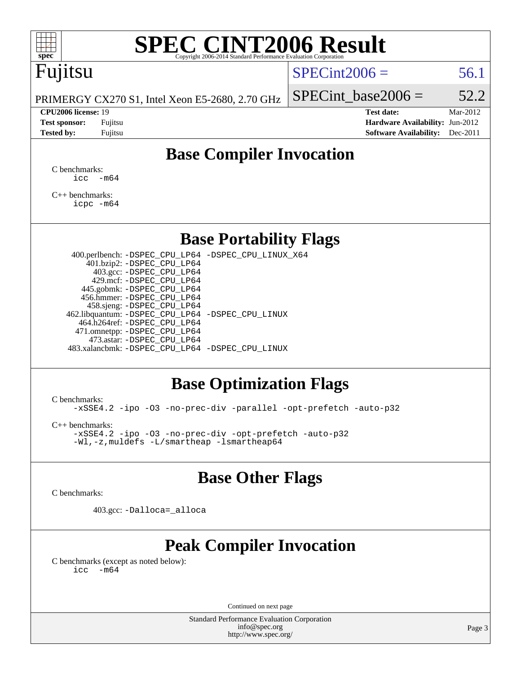

# **[SPEC CINT2006 Result](http://www.spec.org/auto/cpu2006/Docs/result-fields.html#SPECCINT2006Result)**

# Fujitsu

### $SPECint2006 = 56.1$  $SPECint2006 = 56.1$

PRIMERGY CX270 S1, Intel Xeon E5-2680, 2.70 GHz

SPECint base2006 =  $52.2$ 

**[CPU2006 license:](http://www.spec.org/auto/cpu2006/Docs/result-fields.html#CPU2006license)** 19 **[Test date:](http://www.spec.org/auto/cpu2006/Docs/result-fields.html#Testdate)** Mar-2012 **[Test sponsor:](http://www.spec.org/auto/cpu2006/Docs/result-fields.html#Testsponsor)** Fujitsu **[Hardware Availability:](http://www.spec.org/auto/cpu2006/Docs/result-fields.html#HardwareAvailability)** Jun-2012 **[Tested by:](http://www.spec.org/auto/cpu2006/Docs/result-fields.html#Testedby)** Fujitsu **Fugital Example 2011 [Software Availability:](http://www.spec.org/auto/cpu2006/Docs/result-fields.html#SoftwareAvailability)** Dec-2011

## **[Base Compiler Invocation](http://www.spec.org/auto/cpu2006/Docs/result-fields.html#BaseCompilerInvocation)**

[C benchmarks](http://www.spec.org/auto/cpu2006/Docs/result-fields.html#Cbenchmarks):  $\text{icc}$   $-\text{m64}$ 

[C++ benchmarks:](http://www.spec.org/auto/cpu2006/Docs/result-fields.html#CXXbenchmarks) [icpc -m64](http://www.spec.org/cpu2006/results/res2012q3/cpu2006-20120620-23139.flags.html#user_CXXbase_intel_icpc_64bit_fc66a5337ce925472a5c54ad6a0de310)

### **[Base Portability Flags](http://www.spec.org/auto/cpu2006/Docs/result-fields.html#BasePortabilityFlags)**

 400.perlbench: [-DSPEC\\_CPU\\_LP64](http://www.spec.org/cpu2006/results/res2012q3/cpu2006-20120620-23139.flags.html#b400.perlbench_basePORTABILITY_DSPEC_CPU_LP64) [-DSPEC\\_CPU\\_LINUX\\_X64](http://www.spec.org/cpu2006/results/res2012q3/cpu2006-20120620-23139.flags.html#b400.perlbench_baseCPORTABILITY_DSPEC_CPU_LINUX_X64) 401.bzip2: [-DSPEC\\_CPU\\_LP64](http://www.spec.org/cpu2006/results/res2012q3/cpu2006-20120620-23139.flags.html#suite_basePORTABILITY401_bzip2_DSPEC_CPU_LP64) 403.gcc: [-DSPEC\\_CPU\\_LP64](http://www.spec.org/cpu2006/results/res2012q3/cpu2006-20120620-23139.flags.html#suite_basePORTABILITY403_gcc_DSPEC_CPU_LP64) 429.mcf: [-DSPEC\\_CPU\\_LP64](http://www.spec.org/cpu2006/results/res2012q3/cpu2006-20120620-23139.flags.html#suite_basePORTABILITY429_mcf_DSPEC_CPU_LP64) 445.gobmk: [-DSPEC\\_CPU\\_LP64](http://www.spec.org/cpu2006/results/res2012q3/cpu2006-20120620-23139.flags.html#suite_basePORTABILITY445_gobmk_DSPEC_CPU_LP64) 456.hmmer: [-DSPEC\\_CPU\\_LP64](http://www.spec.org/cpu2006/results/res2012q3/cpu2006-20120620-23139.flags.html#suite_basePORTABILITY456_hmmer_DSPEC_CPU_LP64) 458.sjeng: [-DSPEC\\_CPU\\_LP64](http://www.spec.org/cpu2006/results/res2012q3/cpu2006-20120620-23139.flags.html#suite_basePORTABILITY458_sjeng_DSPEC_CPU_LP64) 462.libquantum: [-DSPEC\\_CPU\\_LP64](http://www.spec.org/cpu2006/results/res2012q3/cpu2006-20120620-23139.flags.html#suite_basePORTABILITY462_libquantum_DSPEC_CPU_LP64) [-DSPEC\\_CPU\\_LINUX](http://www.spec.org/cpu2006/results/res2012q3/cpu2006-20120620-23139.flags.html#b462.libquantum_baseCPORTABILITY_DSPEC_CPU_LINUX) 464.h264ref: [-DSPEC\\_CPU\\_LP64](http://www.spec.org/cpu2006/results/res2012q3/cpu2006-20120620-23139.flags.html#suite_basePORTABILITY464_h264ref_DSPEC_CPU_LP64) 471.omnetpp: [-DSPEC\\_CPU\\_LP64](http://www.spec.org/cpu2006/results/res2012q3/cpu2006-20120620-23139.flags.html#suite_basePORTABILITY471_omnetpp_DSPEC_CPU_LP64) 473.astar: [-DSPEC\\_CPU\\_LP64](http://www.spec.org/cpu2006/results/res2012q3/cpu2006-20120620-23139.flags.html#suite_basePORTABILITY473_astar_DSPEC_CPU_LP64) 483.xalancbmk: [-DSPEC\\_CPU\\_LP64](http://www.spec.org/cpu2006/results/res2012q3/cpu2006-20120620-23139.flags.html#suite_basePORTABILITY483_xalancbmk_DSPEC_CPU_LP64) [-DSPEC\\_CPU\\_LINUX](http://www.spec.org/cpu2006/results/res2012q3/cpu2006-20120620-23139.flags.html#b483.xalancbmk_baseCXXPORTABILITY_DSPEC_CPU_LINUX)

## **[Base Optimization Flags](http://www.spec.org/auto/cpu2006/Docs/result-fields.html#BaseOptimizationFlags)**

[C benchmarks](http://www.spec.org/auto/cpu2006/Docs/result-fields.html#Cbenchmarks):

[-xSSE4.2](http://www.spec.org/cpu2006/results/res2012q3/cpu2006-20120620-23139.flags.html#user_CCbase_f-xSSE42_f91528193cf0b216347adb8b939d4107) [-ipo](http://www.spec.org/cpu2006/results/res2012q3/cpu2006-20120620-23139.flags.html#user_CCbase_f-ipo) [-O3](http://www.spec.org/cpu2006/results/res2012q3/cpu2006-20120620-23139.flags.html#user_CCbase_f-O3) [-no-prec-div](http://www.spec.org/cpu2006/results/res2012q3/cpu2006-20120620-23139.flags.html#user_CCbase_f-no-prec-div) [-parallel](http://www.spec.org/cpu2006/results/res2012q3/cpu2006-20120620-23139.flags.html#user_CCbase_f-parallel) [-opt-prefetch](http://www.spec.org/cpu2006/results/res2012q3/cpu2006-20120620-23139.flags.html#user_CCbase_f-opt-prefetch) [-auto-p32](http://www.spec.org/cpu2006/results/res2012q3/cpu2006-20120620-23139.flags.html#user_CCbase_f-auto-p32)

[C++ benchmarks:](http://www.spec.org/auto/cpu2006/Docs/result-fields.html#CXXbenchmarks)

[-xSSE4.2](http://www.spec.org/cpu2006/results/res2012q3/cpu2006-20120620-23139.flags.html#user_CXXbase_f-xSSE42_f91528193cf0b216347adb8b939d4107) [-ipo](http://www.spec.org/cpu2006/results/res2012q3/cpu2006-20120620-23139.flags.html#user_CXXbase_f-ipo) [-O3](http://www.spec.org/cpu2006/results/res2012q3/cpu2006-20120620-23139.flags.html#user_CXXbase_f-O3) [-no-prec-div](http://www.spec.org/cpu2006/results/res2012q3/cpu2006-20120620-23139.flags.html#user_CXXbase_f-no-prec-div) [-opt-prefetch](http://www.spec.org/cpu2006/results/res2012q3/cpu2006-20120620-23139.flags.html#user_CXXbase_f-opt-prefetch) [-auto-p32](http://www.spec.org/cpu2006/results/res2012q3/cpu2006-20120620-23139.flags.html#user_CXXbase_f-auto-p32) [-Wl,-z,muldefs](http://www.spec.org/cpu2006/results/res2012q3/cpu2006-20120620-23139.flags.html#user_CXXbase_link_force_multiple1_74079c344b956b9658436fd1b6dd3a8a) [-L/smartheap -lsmartheap64](http://www.spec.org/cpu2006/results/res2012q3/cpu2006-20120620-23139.flags.html#user_CXXbase_SmartHeap64_5e654037dadeae1fe403ab4b4466e60b)

### **[Base Other Flags](http://www.spec.org/auto/cpu2006/Docs/result-fields.html#BaseOtherFlags)**

[C benchmarks](http://www.spec.org/auto/cpu2006/Docs/result-fields.html#Cbenchmarks):

403.gcc: [-Dalloca=\\_alloca](http://www.spec.org/cpu2006/results/res2012q3/cpu2006-20120620-23139.flags.html#b403.gcc_baseEXTRA_CFLAGS_Dalloca_be3056838c12de2578596ca5467af7f3)

## **[Peak Compiler Invocation](http://www.spec.org/auto/cpu2006/Docs/result-fields.html#PeakCompilerInvocation)**

[C benchmarks \(except as noted below\)](http://www.spec.org/auto/cpu2006/Docs/result-fields.html#Cbenchmarksexceptasnotedbelow):  $\text{icc}$  -m64

Continued on next page

Standard Performance Evaluation Corporation [info@spec.org](mailto:info@spec.org) <http://www.spec.org/>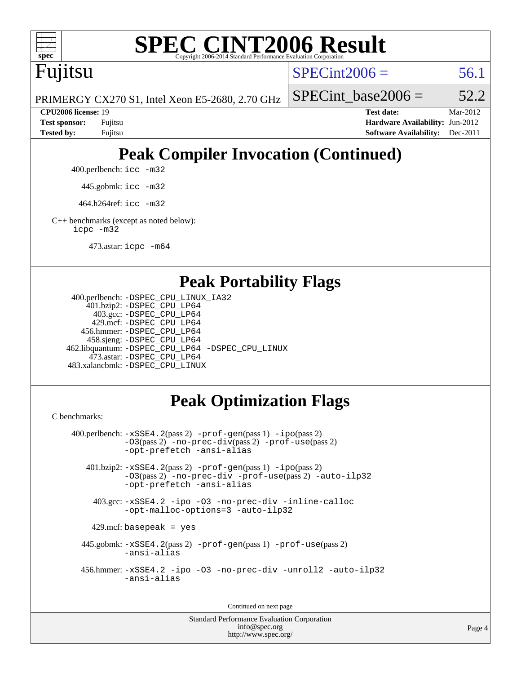

# **[SPEC CINT2006 Result](http://www.spec.org/auto/cpu2006/Docs/result-fields.html#SPECCINT2006Result)**

Fujitsu

 $SPECint2006 = 56.1$  $SPECint2006 = 56.1$ 

PRIMERGY CX270 S1, Intel Xeon E5-2680, 2.70 GHz

SPECint base2006 =  $52.2$ 

**[CPU2006 license:](http://www.spec.org/auto/cpu2006/Docs/result-fields.html#CPU2006license)** 19 **[Test date:](http://www.spec.org/auto/cpu2006/Docs/result-fields.html#Testdate)** Mar-2012 **[Test sponsor:](http://www.spec.org/auto/cpu2006/Docs/result-fields.html#Testsponsor)** Fujitsu **[Hardware Availability:](http://www.spec.org/auto/cpu2006/Docs/result-fields.html#HardwareAvailability)** Jun-2012 **[Tested by:](http://www.spec.org/auto/cpu2006/Docs/result-fields.html#Testedby)** Fujitsu **[Software Availability:](http://www.spec.org/auto/cpu2006/Docs/result-fields.html#SoftwareAvailability)** Dec-2011

# **[Peak Compiler Invocation \(Continued\)](http://www.spec.org/auto/cpu2006/Docs/result-fields.html#PeakCompilerInvocation)**

400.perlbench: [icc -m32](http://www.spec.org/cpu2006/results/res2012q3/cpu2006-20120620-23139.flags.html#user_peakCCLD400_perlbench_intel_icc_a6a621f8d50482236b970c6ac5f55f93)

445.gobmk: [icc -m32](http://www.spec.org/cpu2006/results/res2012q3/cpu2006-20120620-23139.flags.html#user_peakCCLD445_gobmk_intel_icc_a6a621f8d50482236b970c6ac5f55f93)

464.h264ref: [icc -m32](http://www.spec.org/cpu2006/results/res2012q3/cpu2006-20120620-23139.flags.html#user_peakCCLD464_h264ref_intel_icc_a6a621f8d50482236b970c6ac5f55f93)

[C++ benchmarks \(except as noted below\):](http://www.spec.org/auto/cpu2006/Docs/result-fields.html#CXXbenchmarksexceptasnotedbelow) [icpc -m32](http://www.spec.org/cpu2006/results/res2012q3/cpu2006-20120620-23139.flags.html#user_CXXpeak_intel_icpc_4e5a5ef1a53fd332b3c49e69c3330699)

473.astar: [icpc -m64](http://www.spec.org/cpu2006/results/res2012q3/cpu2006-20120620-23139.flags.html#user_peakCXXLD473_astar_intel_icpc_64bit_fc66a5337ce925472a5c54ad6a0de310)

### **[Peak Portability Flags](http://www.spec.org/auto/cpu2006/Docs/result-fields.html#PeakPortabilityFlags)**

```
 400.perlbench: -DSPEC_CPU_LINUX_IA32
    401.bzip2: -DSPEC_CPU_LP64
      403.gcc: -DSPEC_CPU_LP64
     429.mcf: -DSPEC_CPU_LP64
   456.hmmer: -DSPEC_CPU_LP64
    458.sjeng: -DSPEC_CPU_LP64
462.libquantum: -DSPEC_CPU_LP64 -DSPEC_CPU_LINUX
     473.astar: -DSPEC_CPU_LP64
483.xalancbmk: -DSPEC_CPU_LINUX
```
# **[Peak Optimization Flags](http://www.spec.org/auto/cpu2006/Docs/result-fields.html#PeakOptimizationFlags)**

[C benchmarks](http://www.spec.org/auto/cpu2006/Docs/result-fields.html#Cbenchmarks):

```
 400.perlbench: -xSSE4.2(pass 2) -prof-gen(pass 1) -ipo(pass 2)
           -O3(pass 2) -no-prec-div(pass 2) -prof-use(pass 2)
          -opt-prefetch -ansi-alias
   401.bzip2: -xSSE4.2(pass 2) -prof-gen(pass 1) -ipo(pass 2)
           -O3(pass 2) -no-prec-div -prof-use(pass 2) -auto-ilp32
           -opt-prefetch -ansi-alias
    403.gcc: -xSSE4.2 -ipo -O3 -no-prec-div -inline-calloc
           -opt-malloc-options=3 -auto-ilp32
   429.mcf: basepeak = yes
  445.gobmk: -xSSE4.2(pass 2) -prof-gen(pass 1) -prof-use(pass 2)
           -ansi-alias
  456.hmmer: -xSSE4.2 -ipo -O3 -no-prec-div -unroll2 -auto-ilp32
           -ansi-alias
```
Continued on next page

Standard Performance Evaluation Corporation [info@spec.org](mailto:info@spec.org) <http://www.spec.org/>